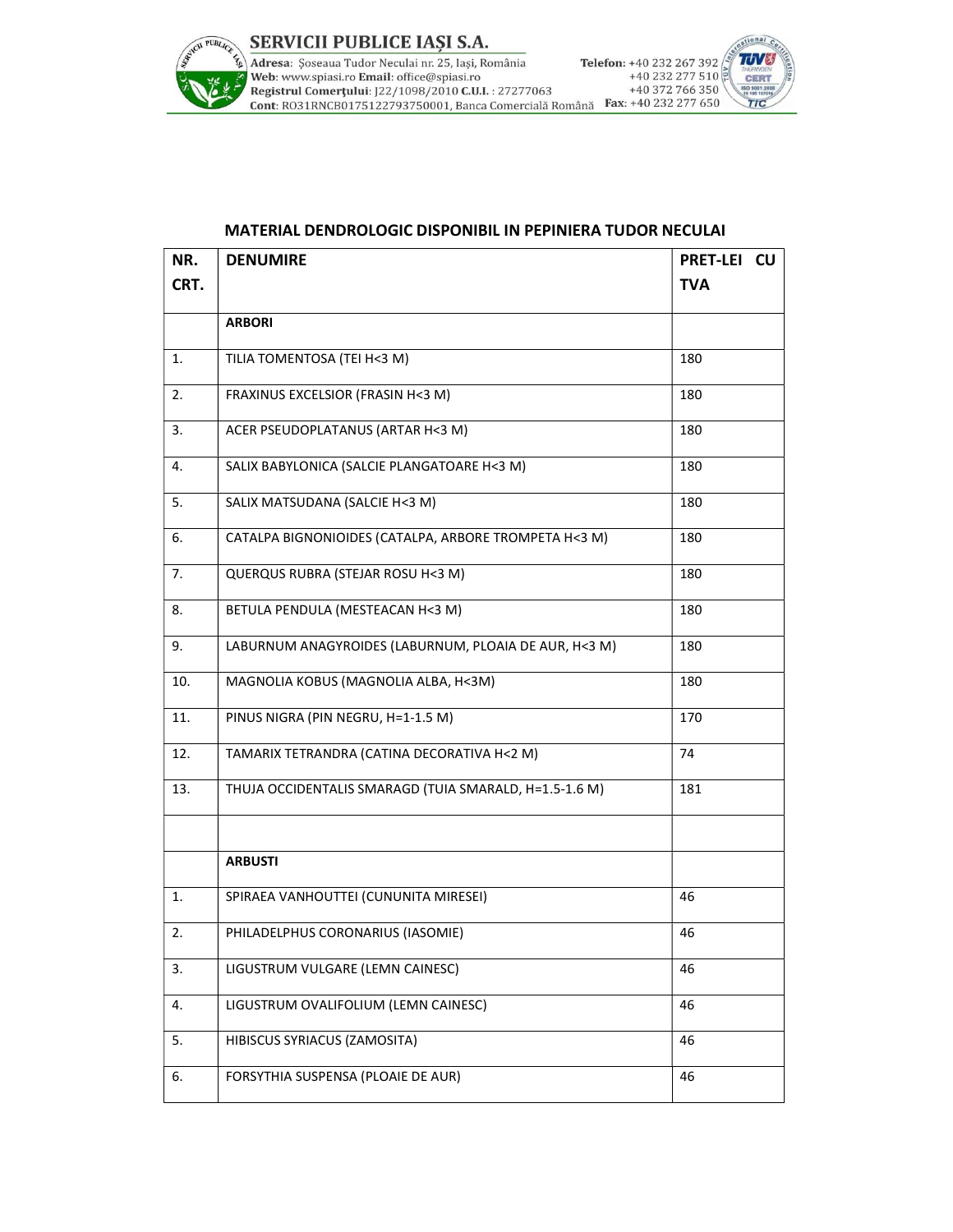

## MATERIAL DENDROLOGIC DISPONIBIL IN PEPINIERA TUDOR NECULAI

| NR.  | <b>DENUMIRE</b>                                        | PRET-LEI CU |
|------|--------------------------------------------------------|-------------|
| CRT. |                                                        | <b>TVA</b>  |
|      | <b>ARBORI</b>                                          |             |
| 1.   | TILIA TOMENTOSA (TEI H<3 M)                            | 180         |
| 2.   | FRAXINUS EXCELSIOR (FRASIN H<3 M)                      | 180         |
| 3.   | ACER PSEUDOPLATANUS (ARTAR H<3 M)                      | 180         |
| 4.   | SALIX BABYLONICA (SALCIE PLANGATOARE H<3 M)            | 180         |
| 5.   | SALIX MATSUDANA (SALCIE H<3 M)                         | 180         |
| 6.   | CATALPA BIGNONIOIDES (CATALPA, ARBORE TROMPETA H<3 M)  | 180         |
| 7.   | QUERQUS RUBRA (STEJAR ROSU H<3 M)                      | 180         |
| 8.   | BETULA PENDULA (MESTEACAN H<3 M)                       | 180         |
| 9.   | LABURNUM ANAGYROIDES (LABURNUM, PLOAIA DE AUR, H<3 M)  | 180         |
| 10.  | MAGNOLIA KOBUS (MAGNOLIA ALBA, H<3M)                   | 180         |
| 11.  | PINUS NIGRA (PIN NEGRU, H=1-1.5 M)                     | 170         |
| 12.  | TAMARIX TETRANDRA (CATINA DECORATIVA H<2 M)            | 74          |
| 13.  | THUJA OCCIDENTALIS SMARAGD (TUIA SMARALD, H=1.5-1.6 M) | 181         |
|      |                                                        |             |
|      | <b>ARBUSTI</b>                                         |             |
| 1.   | SPIRAEA VANHOUTTEI (CUNUNITA MIRESEI)                  | 46          |
| 2.   | PHILADELPHUS CORONARIUS (IASOMIE)                      | 46          |
| 3.   | LIGUSTRUM VULGARE (LEMN CAINESC)                       | 46          |
| 4.   | LIGUSTRUM OVALIFOLIUM (LEMN CAINESC)                   | 46          |
| 5.   | HIBISCUS SYRIACUS (ZAMOSITA)                           | 46          |
| 6.   | FORSYTHIA SUSPENSA (PLOAIE DE AUR)                     | 46          |